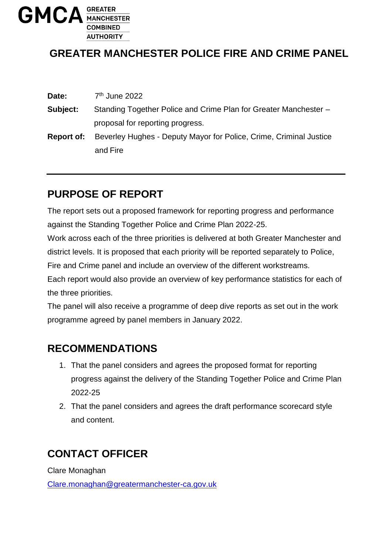

## **GREATER MANCHESTER POLICE FIRE AND CRIME PANEL**

| Date:      | 7 <sup>th</sup> June 2022                                          |
|------------|--------------------------------------------------------------------|
| Subject:   | Standing Together Police and Crime Plan for Greater Manchester -   |
|            | proposal for reporting progress.                                   |
| Report of: | Beverley Hughes - Deputy Mayor for Police, Crime, Criminal Justice |
|            | and Fire                                                           |

## **PURPOSE OF REPORT**

The report sets out a proposed framework for reporting progress and performance against the Standing Together Police and Crime Plan 2022-25.

Work across each of the three priorities is delivered at both Greater Manchester and district levels. It is proposed that each priority will be reported separately to Police,

Fire and Crime panel and include an overview of the different workstreams.

Each report would also provide an overview of key performance statistics for each of the three priorities.

The panel will also receive a programme of deep dive reports as set out in the work programme agreed by panel members in January 2022.

## **RECOMMENDATIONS**

- 1. That the panel considers and agrees the proposed format for reporting progress against the delivery of the Standing Together Police and Crime Plan 2022-25
- 2. That the panel considers and agrees the draft performance scorecard style and content.

# **CONTACT OFFICER**

Clare Monaghan

[Clare.monaghan@greatermanchester-ca.gov.uk](mailto:Clare.monaghan@greatermanchester-ca.gov.uk)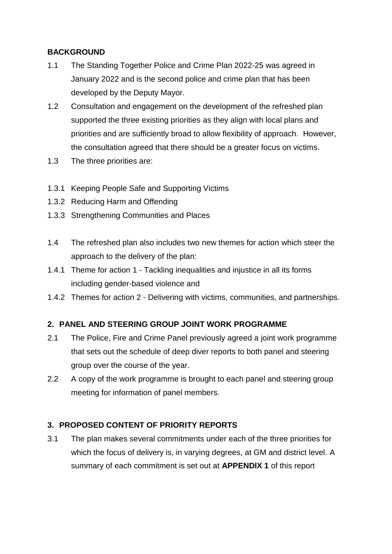#### **BACKGROUND**

- 1.1 The Standing Together Police and Crime Plan 2022-25 was agreed in January 2022 and is the second police and crime plan that has been developed by the Deputy Mayor.
- 1.2 Consultation and engagement on the development of the refreshed plan supported the three existing priorities as they align with local plans and priorities and are sufficiently broad to allow flexibility of approach. However, the consultation agreed that there should be a greater focus on victims.
- 1.3 The three priorities are:
- 1.3.1 Keeping People Safe and Supporting Victims
- 1.3.2 Reducing Harm and Offending
- 1.3.3 Strengthening Communities and Places
- 1.4 The refreshed plan also includes two new themes for action which steer the approach to the delivery of the plan:
- 1.4.1 Theme for action 1 Tackling inequalities and injustice in all its forms including gender-based violence and
- 1.4.2 Themes for action 2 Delivering with victims, communities, and partnerships.

#### **2. PANEL AND STEERING GROUP JOINT WORK PROGRAMME**

- 2.1 The Police, Fire and Crime Panel previously agreed a joint work programme that sets out the schedule of deep diver reports to both panel and steering group over the course of the year.
- 2.2 A copy of the work programme is brought to each panel and steering group meeting for information of panel members.

### **3. PROPOSED CONTENT OF PRIORITY REPORTS**

3.1 The plan makes several commitments under each of the three priorities for which the focus of delivery is, in varying degrees, at GM and district level. A summary of each commitment is set out at **APPENDIX 1** of this report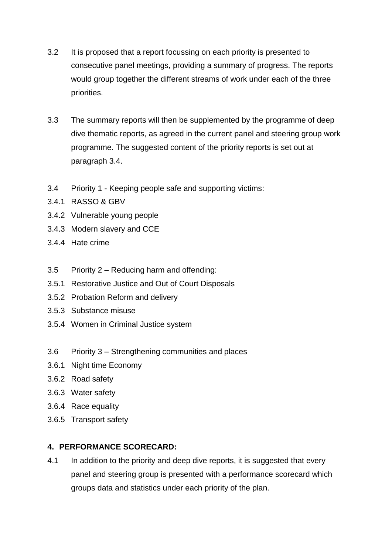- 3.2 It is proposed that a report focussing on each priority is presented to consecutive panel meetings, providing a summary of progress. The reports would group together the different streams of work under each of the three priorities.
- 3.3 The summary reports will then be supplemented by the programme of deep dive thematic reports, as agreed in the current panel and steering group work programme. The suggested content of the priority reports is set out at paragraph 3.4.
- 3.4 Priority 1 Keeping people safe and supporting victims:
- 3.4.1 RASSO & GBV
- 3.4.2 Vulnerable young people
- 3.4.3 Modern slavery and CCE
- 3.4.4 Hate crime
- 3.5 Priority 2 Reducing harm and offending:
- 3.5.1 Restorative Justice and Out of Court Disposals
- 3.5.2 Probation Reform and delivery
- 3.5.3 Substance misuse
- 3.5.4 Women in Criminal Justice system
- 3.6 Priority 3 Strengthening communities and places
- 3.6.1 Night time Economy
- 3.6.2 Road safety
- 3.6.3 Water safety
- 3.6.4 Race equality
- 3.6.5 Transport safety

### **4. PERFORMANCE SCORECARD:**

4.1 In addition to the priority and deep dive reports, it is suggested that every panel and steering group is presented with a performance scorecard which groups data and statistics under each priority of the plan.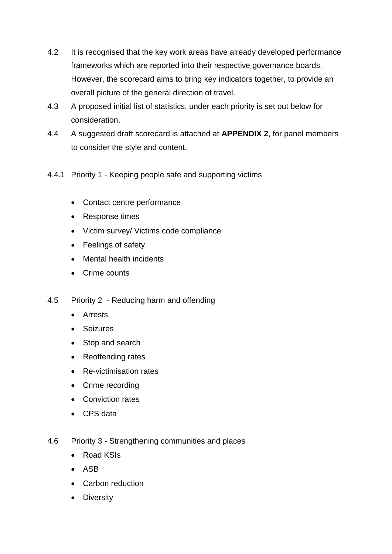- 4.2 It is recognised that the key work areas have already developed performance frameworks which are reported into their respective governance boards. However, the scorecard aims to bring key indicators together, to provide an overall picture of the general direction of travel.
- 4.3 A proposed initial list of statistics, under each priority is set out below for consideration.
- 4.4 A suggested draft scorecard is attached at **APPENDIX 2**, for panel members to consider the style and content.
- 4.4.1 Priority 1 Keeping people safe and supporting victims
	- Contact centre performance
	- Response times
	- Victim survey/ Victims code compliance
	- Feelings of safety
	- Mental health incidents
	- Crime counts
- 4.5 Priority 2 Reducing harm and offending
	- **•** Arrests
	- Seizures
	- Stop and search
	- Reoffending rates
	- Re-victimisation rates
	- Crime recording
	- Conviction rates
	- CPS data
- 4.6 Priority 3 Strengthening communities and places
	- Road KSIs
	- ASB
	- Carbon reduction
	- Diversity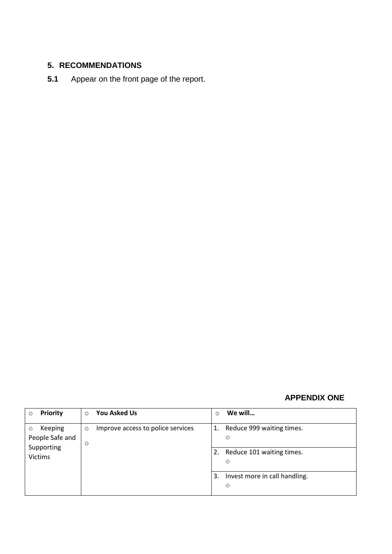### **5. RECOMMENDATIONS**

**5.1** Appear on the front page of the report.

#### **APPENDIX ONE**

| <b>Priority</b><br>Ω | $\Omega$ | <b>You Asked Us</b>               | $\circ$ | We will                       |
|----------------------|----------|-----------------------------------|---------|-------------------------------|
| Keeping<br>$\circ$   | $\circ$  | Improve access to police services | 1.      | Reduce 999 waiting times.     |
| People Safe and      |          |                                   |         | $\circ$                       |
| Supporting           | $\circ$  |                                   |         |                               |
| <b>Victims</b>       |          |                                   | 2.      | Reduce 101 waiting times.     |
|                      |          |                                   |         | $\circ$                       |
|                      |          |                                   |         |                               |
|                      |          |                                   | 3.      | Invest more in call handling. |
|                      |          |                                   |         | $\circ$                       |
|                      |          |                                   |         |                               |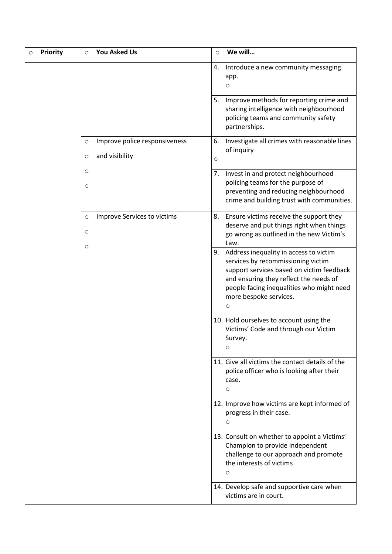| <b>Priority</b><br>O | <b>You Asked Us</b><br>$\circ$           | We will<br>$\circ$                                                                                                                                                                                                                                 |
|----------------------|------------------------------------------|----------------------------------------------------------------------------------------------------------------------------------------------------------------------------------------------------------------------------------------------------|
|                      |                                          | 4.<br>Introduce a new community messaging<br>app.<br>O                                                                                                                                                                                             |
|                      |                                          | Improve methods for reporting crime and<br>5.<br>sharing intelligence with neighbourhood<br>policing teams and community safety<br>partnerships.                                                                                                   |
|                      | Improve police responsiveness<br>$\circ$ | Investigate all crimes with reasonable lines<br>6.                                                                                                                                                                                                 |
|                      | and visibility<br>$\circ$                | of inquiry<br>$\circ$                                                                                                                                                                                                                              |
|                      | $\circ$                                  | 7.<br>Invest in and protect neighbourhood                                                                                                                                                                                                          |
|                      | $\circ$                                  | policing teams for the purpose of<br>preventing and reducing neighbourhood<br>crime and building trust with communities.                                                                                                                           |
|                      | Improve Services to victims<br>$\circ$   | Ensure victims receive the support they<br>8.<br>deserve and put things right when things                                                                                                                                                          |
|                      | O                                        | go wrong as outlined in the new Victim's<br>Law.                                                                                                                                                                                                   |
|                      | $\circ$                                  | 9. Address inequality in access to victim<br>services by recommissioning victim<br>support services based on victim feedback<br>and ensuring they reflect the needs of<br>people facing inequalities who might need<br>more bespoke services.<br>O |
|                      |                                          | 10. Hold ourselves to account using the<br>Victims' Code and through our Victim<br>Survey.<br>O                                                                                                                                                    |
|                      |                                          | 11. Give all victims the contact details of the<br>police officer who is looking after their<br>case.<br>$\circ$                                                                                                                                   |
|                      |                                          | 12. Improve how victims are kept informed of<br>progress in their case.<br>O                                                                                                                                                                       |
|                      |                                          | 13. Consult on whether to appoint a Victims'<br>Champion to provide independent<br>challenge to our approach and promote<br>the interests of victims<br>O                                                                                          |
|                      |                                          | 14. Develop safe and supportive care when<br>victims are in court.                                                                                                                                                                                 |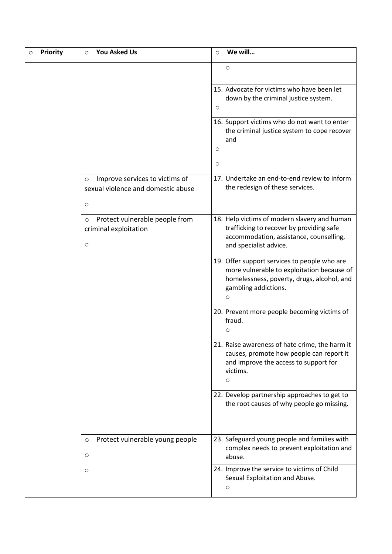| <b>Priority</b> | <b>You Asked Us</b><br>$\circ$                                                             | We will<br>$\circ$                                                                                                                                                    |
|-----------------|--------------------------------------------------------------------------------------------|-----------------------------------------------------------------------------------------------------------------------------------------------------------------------|
|                 |                                                                                            | $\circ$                                                                                                                                                               |
|                 |                                                                                            | 15. Advocate for victims who have been let<br>down by the criminal justice system.<br>$\circ$                                                                         |
|                 |                                                                                            | 16. Support victims who do not want to enter<br>the criminal justice system to cope recover<br>and                                                                    |
|                 |                                                                                            | $\circ$<br>$\circ$                                                                                                                                                    |
|                 | Improve services to victims of<br>$\circ$<br>sexual violence and domestic abuse<br>$\circ$ | 17. Undertake an end-to-end review to inform<br>the redesign of these services.                                                                                       |
|                 | Protect vulnerable people from<br>$\circ$<br>criminal exploitation<br>$\circ$              | 18. Help victims of modern slavery and human<br>trafficking to recover by providing safe<br>accommodation, assistance, counselling,<br>and specialist advice.         |
|                 |                                                                                            | 19. Offer support services to people who are<br>more vulnerable to exploitation because of<br>homelessness, poverty, drugs, alcohol, and<br>gambling addictions.<br>O |
|                 |                                                                                            | 20. Prevent more people becoming victims of<br>fraud.<br>O                                                                                                            |
|                 |                                                                                            | 21. Raise awareness of hate crime, the harm it<br>causes, promote how people can report it<br>and improve the access to support for<br>victims.<br>$\circ$            |
|                 |                                                                                            | 22. Develop partnership approaches to get to<br>the root causes of why people go missing.                                                                             |
|                 | Protect vulnerable young people<br>$\circ$<br>O                                            | 23. Safeguard young people and families with<br>complex needs to prevent exploitation and<br>abuse.                                                                   |
|                 | $\circ$                                                                                    | 24. Improve the service to victims of Child<br>Sexual Exploitation and Abuse.<br>$\circ$                                                                              |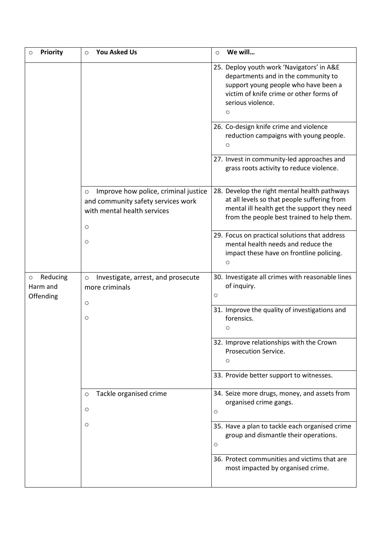| <b>Priority</b><br>O                         | <b>You Asked Us</b><br>$\circ$                                                                                                  | We will<br>$\circ$                                                                                                                                                                                  |
|----------------------------------------------|---------------------------------------------------------------------------------------------------------------------------------|-----------------------------------------------------------------------------------------------------------------------------------------------------------------------------------------------------|
|                                              |                                                                                                                                 | 25. Deploy youth work 'Navigators' in A&E<br>departments and in the community to<br>support young people who have been a<br>victim of knife crime or other forms of<br>serious violence.<br>$\circ$ |
|                                              |                                                                                                                                 | 26. Co-design knife crime and violence<br>reduction campaigns with young people.<br>O                                                                                                               |
|                                              |                                                                                                                                 | 27. Invest in community-led approaches and<br>grass roots activity to reduce violence.                                                                                                              |
|                                              | Improve how police, criminal justice<br>$\circ$<br>and community safety services work<br>with mental health services<br>$\circ$ | 28. Develop the right mental health pathways<br>at all levels so that people suffering from<br>mental ill health get the support they need<br>from the people best trained to help them.            |
|                                              | O                                                                                                                               | 29. Focus on practical solutions that address<br>mental health needs and reduce the<br>impact these have on frontline policing.<br>$\circ$                                                          |
| Reducing<br>$\circ$<br>Harm and<br>Offending | Investigate, arrest, and prosecute<br>$\circ$<br>more criminals<br>O                                                            | 30. Investigate all crimes with reasonable lines<br>of inquiry.<br>O                                                                                                                                |
|                                              | O                                                                                                                               | 31. Improve the quality of investigations and<br>forensics.<br>О                                                                                                                                    |
|                                              |                                                                                                                                 | 32. Improve relationships with the Crown<br>Prosecution Service.<br>$\circ$                                                                                                                         |
|                                              |                                                                                                                                 | 33. Provide better support to witnesses.                                                                                                                                                            |
|                                              | Tackle organised crime<br>$\circ$<br>O                                                                                          | 34. Seize more drugs, money, and assets from<br>organised crime gangs.<br>O                                                                                                                         |
|                                              | O                                                                                                                               | 35. Have a plan to tackle each organised crime<br>group and dismantle their operations.<br>O                                                                                                        |
|                                              |                                                                                                                                 | 36. Protect communities and victims that are<br>most impacted by organised crime.                                                                                                                   |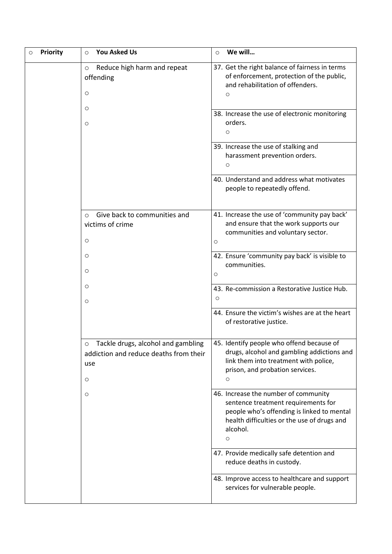| <b>Priority</b> | <b>You Asked Us</b><br>$\circ$                                                                | We will<br>$\circ$                                                                                                                                                                        |
|-----------------|-----------------------------------------------------------------------------------------------|-------------------------------------------------------------------------------------------------------------------------------------------------------------------------------------------|
|                 | Reduce high harm and repeat<br>$\circ$<br>offending<br>$\circ$                                | 37. Get the right balance of fairness in terms<br>of enforcement, protection of the public,<br>and rehabilitation of offenders.<br>O                                                      |
|                 | $\circ$<br>$\circ$                                                                            | 38. Increase the use of electronic monitoring<br>orders.<br>O                                                                                                                             |
|                 |                                                                                               | 39. Increase the use of stalking and<br>harassment prevention orders.<br>O                                                                                                                |
|                 |                                                                                               | 40. Understand and address what motivates<br>people to repeatedly offend.                                                                                                                 |
|                 | Give back to communities and<br>$\Omega$<br>victims of crime<br>$\circ$                       | 41. Increase the use of 'community pay back'<br>and ensure that the work supports our<br>communities and voluntary sector.<br>$\circ$                                                     |
|                 | $\circ$<br>O                                                                                  | 42. Ensure 'community pay back' is visible to<br>communities.<br>$\circ$                                                                                                                  |
|                 | $\circ$<br>$\circ$                                                                            | 43. Re-commission a Restorative Justice Hub.<br>O                                                                                                                                         |
|                 |                                                                                               | 44. Ensure the victim's wishes are at the heart<br>of restorative justice.                                                                                                                |
|                 | Tackle drugs, alcohol and gambling<br>O<br>addiction and reduce deaths from their<br>use<br>O | 45. Identify people who offend because of<br>drugs, alcohol and gambling addictions and<br>link them into treatment with police,<br>prison, and probation services.<br>O                  |
|                 | $\circ$                                                                                       | 46. Increase the number of community<br>sentence treatment requirements for<br>people who's offending is linked to mental<br>health difficulties or the use of drugs and<br>alcohol.<br>O |
|                 |                                                                                               | 47. Provide medically safe detention and<br>reduce deaths in custody.                                                                                                                     |
|                 |                                                                                               | 48. Improve access to healthcare and support<br>services for vulnerable people.                                                                                                           |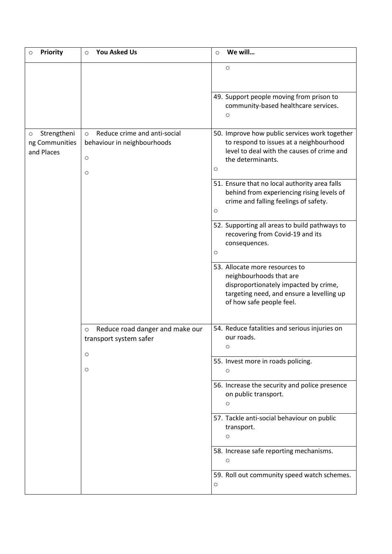| <b>Priority</b><br>$\circ$                             | <b>You Asked Us</b><br>$\circ$                                                               | We will<br>$\circ$                                                                                                                                                          |
|--------------------------------------------------------|----------------------------------------------------------------------------------------------|-----------------------------------------------------------------------------------------------------------------------------------------------------------------------------|
|                                                        |                                                                                              | $\circ$                                                                                                                                                                     |
|                                                        |                                                                                              | 49. Support people moving from prison to<br>community-based healthcare services.<br>O                                                                                       |
| Strengtheni<br>$\circ$<br>ng Communities<br>and Places | Reduce crime and anti-social<br>$\circ$<br>behaviour in neighbourhoods<br>$\circ$<br>$\circ$ | 50. Improve how public services work together<br>to respond to issues at a neighbourhood<br>level to deal with the causes of crime and<br>the determinants.<br>O            |
|                                                        |                                                                                              | 51. Ensure that no local authority area falls<br>behind from experiencing rising levels of<br>crime and falling feelings of safety.<br>O                                    |
|                                                        |                                                                                              | 52. Supporting all areas to build pathways to<br>recovering from Covid-19 and its<br>consequences.<br>O                                                                     |
|                                                        |                                                                                              | 53. Allocate more resources to<br>neighbourhoods that are<br>disproportionately impacted by crime,<br>targeting need, and ensure a levelling up<br>of how safe people feel. |
|                                                        | Reduce road danger and make our<br>$\circ$<br>transport system safer<br>O                    | 54. Reduce fatalities and serious injuries on<br>our roads.<br>O                                                                                                            |
|                                                        | $\circ$                                                                                      | 55. Invest more in roads policing.<br>O                                                                                                                                     |
|                                                        |                                                                                              | 56. Increase the security and police presence<br>on public transport.<br>$\circ$                                                                                            |
|                                                        |                                                                                              | 57. Tackle anti-social behaviour on public<br>transport.<br>O                                                                                                               |
|                                                        |                                                                                              | 58. Increase safe reporting mechanisms.<br>$\circ$                                                                                                                          |
|                                                        |                                                                                              | 59. Roll out community speed watch schemes.<br>O                                                                                                                            |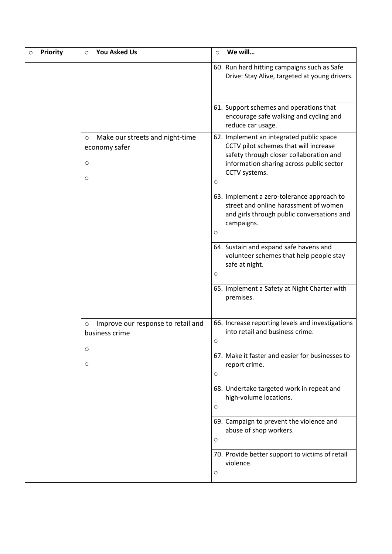| <b>Priority</b> | <b>You Asked Us</b><br>$\circ$                                              | We will<br>$\circ$                                                                                                                                                                                   |
|-----------------|-----------------------------------------------------------------------------|------------------------------------------------------------------------------------------------------------------------------------------------------------------------------------------------------|
|                 |                                                                             | 60. Run hard hitting campaigns such as Safe<br>Drive: Stay Alive, targeted at young drivers.                                                                                                         |
|                 |                                                                             | 61. Support schemes and operations that<br>encourage safe walking and cycling and<br>reduce car usage.                                                                                               |
|                 | Make our streets and night-time<br>$\circ$<br>economy safer<br>O<br>$\circ$ | 62. Implement an integrated public space<br>CCTV pilot schemes that will increase<br>safety through closer collaboration and<br>information sharing across public sector<br>CCTV systems.<br>$\circ$ |
|                 |                                                                             | 63. Implement a zero-tolerance approach to<br>street and online harassment of women<br>and girls through public conversations and<br>campaigns.<br>$\circ$                                           |
|                 |                                                                             | 64. Sustain and expand safe havens and<br>volunteer schemes that help people stay<br>safe at night.<br>$\circ$                                                                                       |
|                 |                                                                             | 65. Implement a Safety at Night Charter with<br>premises.                                                                                                                                            |
|                 | Improve our response to retail and<br>O<br>business crime                   | 66. Increase reporting levels and investigations<br>into retail and business crime.<br>$\circ$                                                                                                       |
|                 | O<br>$\circ$                                                                | 67. Make it faster and easier for businesses to<br>report crime.<br>$\circ$                                                                                                                          |
|                 |                                                                             | 68. Undertake targeted work in repeat and<br>high-volume locations.<br>$\circ$                                                                                                                       |
|                 |                                                                             | 69. Campaign to prevent the violence and<br>abuse of shop workers.<br>O                                                                                                                              |
|                 |                                                                             | 70. Provide better support to victims of retail<br>violence.<br>$\circ$                                                                                                                              |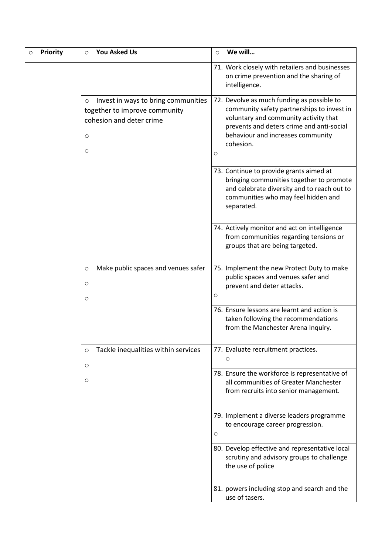| <b>Priority</b> | <b>You Asked Us</b><br>$\circ$                                                                                                    | We will<br>$\circ$                                                                                                                                                                                                                    |
|-----------------|-----------------------------------------------------------------------------------------------------------------------------------|---------------------------------------------------------------------------------------------------------------------------------------------------------------------------------------------------------------------------------------|
|                 |                                                                                                                                   | 71. Work closely with retailers and businesses<br>on crime prevention and the sharing of<br>intelligence.                                                                                                                             |
|                 | Invest in ways to bring communities<br>$\circ$<br>together to improve community<br>cohesion and deter crime<br>$\circ$<br>$\circ$ | 72. Devolve as much funding as possible to<br>community safety partnerships to invest in<br>voluntary and community activity that<br>prevents and deters crime and anti-social<br>behaviour and increases community<br>cohesion.<br>O |
|                 |                                                                                                                                   | 73. Continue to provide grants aimed at<br>bringing communities together to promote<br>and celebrate diversity and to reach out to<br>communities who may feel hidden and<br>separated.                                               |
|                 |                                                                                                                                   | 74. Actively monitor and act on intelligence<br>from communities regarding tensions or<br>groups that are being targeted.                                                                                                             |
|                 | Make public spaces and venues safer<br>$\circ$<br>O<br>$\circ$                                                                    | 75. Implement the new Protect Duty to make<br>public spaces and venues safer and<br>prevent and deter attacks.<br>O                                                                                                                   |
|                 |                                                                                                                                   | 76. Ensure lessons are learnt and action is<br>taken following the recommendations<br>from the Manchester Arena Inquiry.                                                                                                              |
|                 | Tackle inequalities within services<br>$\circ$<br>O                                                                               | 77. Evaluate recruitment practices.<br>O                                                                                                                                                                                              |
|                 | $\circ$                                                                                                                           | 78. Ensure the workforce is representative of<br>all communities of Greater Manchester<br>from recruits into senior management.                                                                                                       |
|                 |                                                                                                                                   | 79. Implement a diverse leaders programme<br>to encourage career progression.<br>O                                                                                                                                                    |
|                 |                                                                                                                                   | 80. Develop effective and representative local<br>scrutiny and advisory groups to challenge<br>the use of police                                                                                                                      |
|                 |                                                                                                                                   | 81. powers including stop and search and the<br>use of tasers.                                                                                                                                                                        |